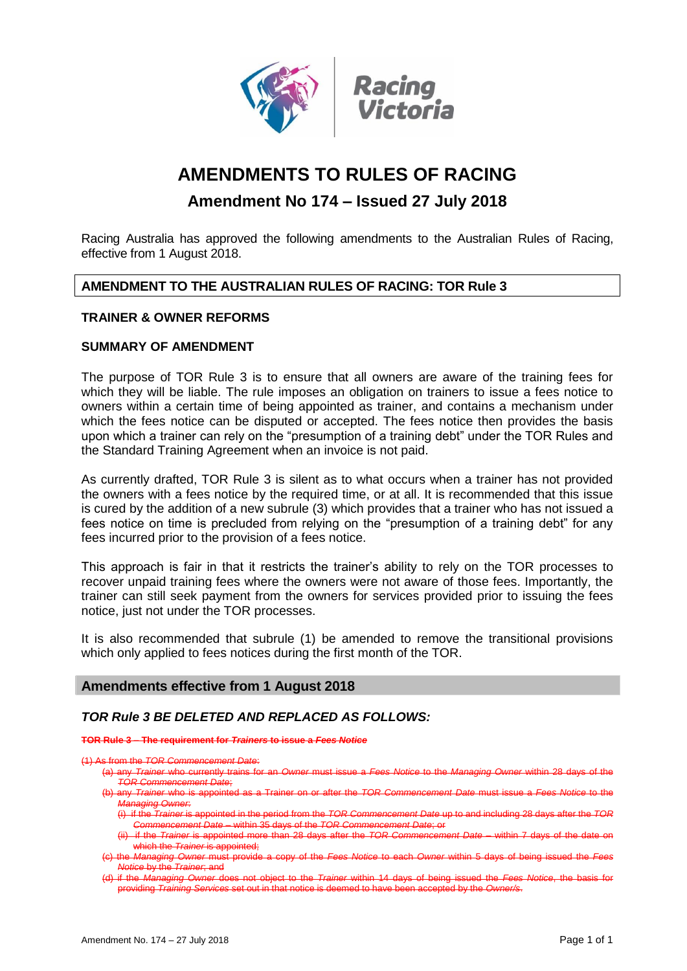

# **AMENDMENTS TO RULES OF RACING**

# **Amendment No 174 – Issued 27 July 2018**

Racing Australia has approved the following amendments to the Australian Rules of Racing, effective from 1 August 2018.

# **AMENDMENT TO THE AUSTRALIAN RULES OF RACING: TOR Rule 3**

# **TRAINER & OWNER REFORMS**

# **SUMMARY OF AMENDMENT**

The purpose of TOR Rule 3 is to ensure that all owners are aware of the training fees for which they will be liable. The rule imposes an obligation on trainers to issue a fees notice to owners within a certain time of being appointed as trainer, and contains a mechanism under which the fees notice can be disputed or accepted. The fees notice then provides the basis upon which a trainer can rely on the "presumption of a training debt" under the TOR Rules and the Standard Training Agreement when an invoice is not paid.

As currently drafted, TOR Rule 3 is silent as to what occurs when a trainer has not provided the owners with a fees notice by the required time, or at all. It is recommended that this issue is cured by the addition of a new subrule (3) which provides that a trainer who has not issued a fees notice on time is precluded from relying on the "presumption of a training debt" for any fees incurred prior to the provision of a fees notice.

This approach is fair in that it restricts the trainer's ability to rely on the TOR processes to recover unpaid training fees where the owners were not aware of those fees. Importantly, the trainer can still seek payment from the owners for services provided prior to issuing the fees notice, just not under the TOR processes.

It is also recommended that subrule (1) be amended to remove the transitional provisions which only applied to fees notices during the first month of the TOR.

## **Amendments effective from 1 August 2018**

# *TOR Rule 3 BE DELETED AND REPLACED AS FOLLOWS:*

#### **TOR Rule 3 – The requirement for** *Trainers* **to issue a** *Fees Notice*

from the

- (a) any *Trainer* who currently trains for an *Owner* must issue a *Fees Notice* to the *Managing Owner* within 28 days of the *TOR Commencement Date*;
- (b) any *Trainer* who is appointed as a Trainer on or after the *TOR Commencement Date* must issue a *Fees Notice* to the *Managing Owner*:
- (i) if the *Trainer* is appointed in the period from the *TOR Commencement Date* up to and including 28 days after the *TOR Commencement Date* – within 35 days of the *TOR Commencement Date*; or
- (ii) if the *Trainer* is appointed more than 28 days after the *TOR Commencement Date*  within 7 days of the date on which the *Trainer* is appointed;
- (c) the *Managing Owner* must provide a copy of the *Fees Notice* to each *Owner* within 5 days of being issued the *Fees Notice* by the *Trainer*; and
- if the *Managing Owner* does not object to the *Trainer* within 14 days of being issued the *Fees Notice*, the basis providing *Training Services* set out in that notice is deemed to have been accepted by the *Owner/s*.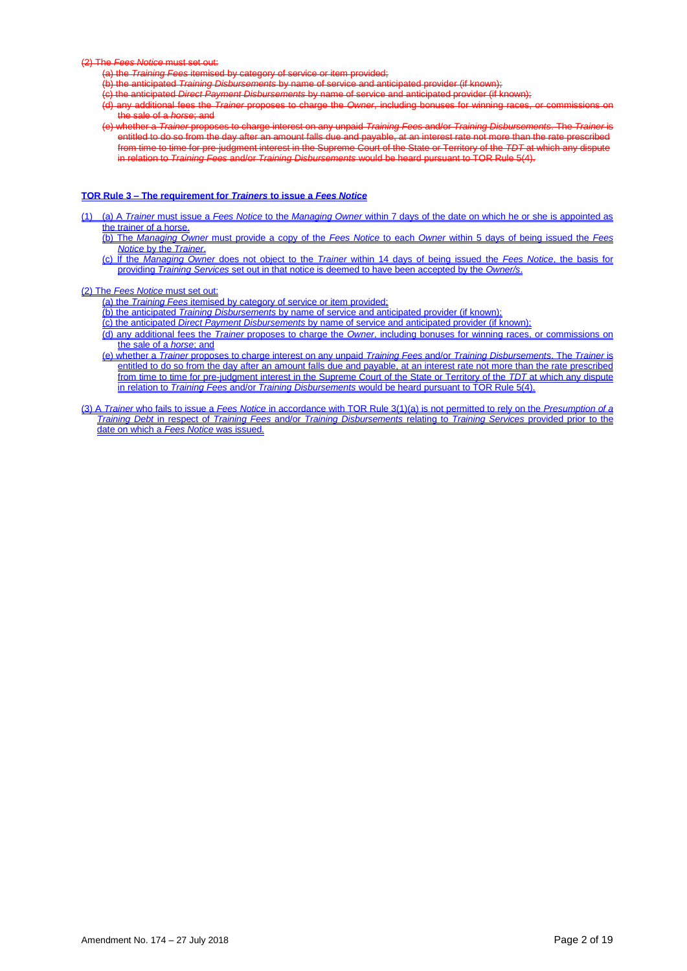(2) The *Fees Notice* must set out:

- (a) the *Training Fees* itemised by category of ser-
- (b) the anticipated *Training Disbursements* by name of service and anticipated provider (if known);
- (c) the anticipated *Direct Payment Disbursements* by name of service and anticipated provider (if known);
- any additional fees the *Trainer* proposes to charge the *Owner*, including bonuses for winning races
- the sale of a *horse*; and (e) whether a *Trainer* proposes to charge interest on any unpaid *Training Fees* and/or *Training Disbursements*. The *Trainer* is entitled to do so from the day after an amount falls due and payable, at an interest rate not more than the rate prescribed from time to time for pre-judgment interest in the Supreme Court of the State or Territory of the *TDT* at which any dispute in relation to *Training Fees* and/or *Training Disbursements* would be heard pursuant to TOR Rule 5(4).

#### **TOR Rule 3 – The requirement for** *Trainers* **to issue a** *Fees Notice*

- (1) (a) A *Trainer* must issue a *Fees Notice* to the *Managing Owner* within 7 days of the date on which he or she is appointed as the trainer of a horse.
	- (b) The *Managing Owner* must provide a copy of the *Fees Notice* to each *Owner* within 5 days of being issued the *Fees Notice* by the *Trainer*.
	- (c) If the *Managing Owner* does not object to the *Trainer* within 14 days of being issued the *Fees Notice*, the basis for providing *Training Services* set out in that notice is deemed to have been accepted by the *Owner/s*.

(2) The *Fees Notice* must set out:

- (a) the *Training Fees* itemised by category of service or item provided;
- (b) the anticipated *Training Disbursements* by name of service and anticipated provider (if known);
- (c) the anticipated *Direct Payment Disbursements* by name of service and anticipated provider (if known);
- (d) any additional fees the *Trainer* proposes to charge the *Owner*, including bonuses for winning races, or commissions on the sale of a *horse*; and
- (e) whether a *Trainer* proposes to charge interest on any unpaid *Training Fees* and/or *Training Disbursements*. The *Trainer* is entitled to do so from the day after an amount falls due and payable, at an interest rate not more than the rate prescribed from time to time for pre-judgment interest in the Supreme Court of the State or Territory of the *TDT* at which any dispute in relation to *Training Fees* and/or *Training Disbursements* would be heard pursuant to TOR Rule 5(4).
- (3) A *Trainer* who fails to issue a *Fees Notice* in accordance with TOR Rule 3(1)(a) is not permitted to rely on the *Presumption of a Training Debt* in respect of *Training Fees* and/or *Training Disbursements* relating to *Training Services* provided prior to the date on which a *Fees Notice* was issued.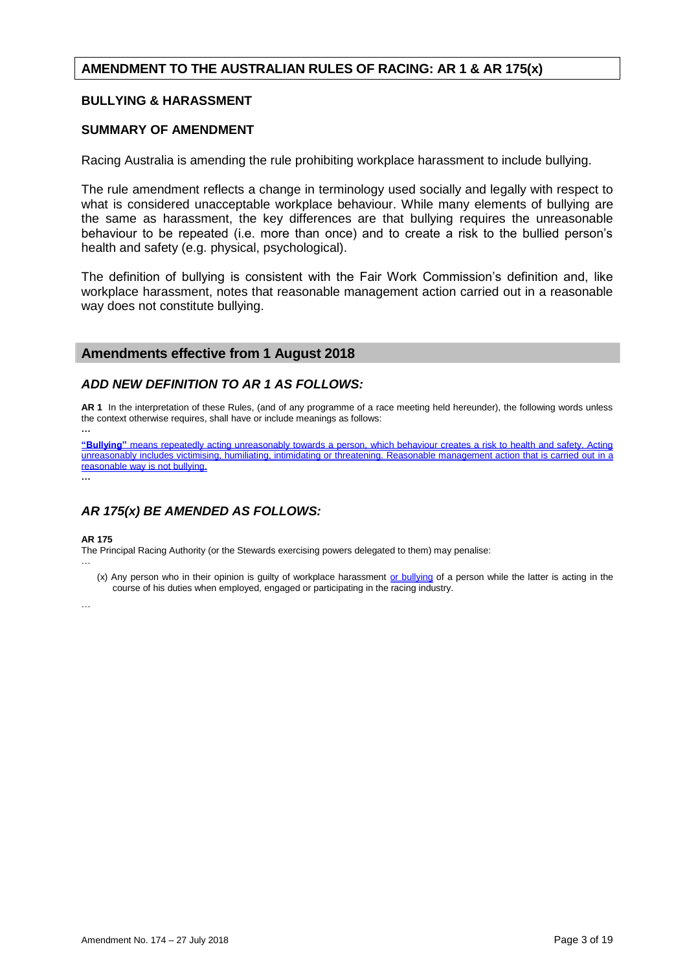# **AMENDMENT TO THE AUSTRALIAN RULES OF RACING: AR 1 & AR 175(x)**

## **BULLYING & HARASSMENT**

## **SUMMARY OF AMENDMENT**

Racing Australia is amending the rule prohibiting workplace harassment to include bullying.

The rule amendment reflects a change in terminology used socially and legally with respect to what is considered unacceptable workplace behaviour. While many elements of bullying are the same as harassment, the key differences are that bullying requires the unreasonable behaviour to be repeated (i.e. more than once) and to create a risk to the bullied person's health and safety (e.g. physical, psychological).

The definition of bullying is consistent with the Fair Work Commission's definition and, like workplace harassment, notes that reasonable management action carried out in a reasonable way does not constitute bullying.

## **Amendments effective from 1 August 2018**

## *ADD NEW DEFINITION TO AR 1 AS FOLLOWS:*

**AR 1** In the interpretation of these Rules, (and of any programme of a race meeting held hereunder), the following words unless the context otherwise requires, shall have or include meanings as follows:

**…**

**"Bullying"** means repeatedly acting unreasonably towards a person, which behaviour creates a risk to health and safety. Acting unreasonably includes victimising, humiliating, intimidating or threatening. Reasonable management action that is carried out in a reasonable way is not bullying. **…**

# *AR 175(x) BE AMENDED AS FOLLOWS:*

#### **AR 175**

The Principal Racing Authority (or the Stewards exercising powers delegated to them) may penalise:

 $(x)$  Any person who in their opinion is quilty of workplace harassment or bullying of a person while the latter is acting in the course of his duties when employed, engaged or participating in the racing industry.

…

…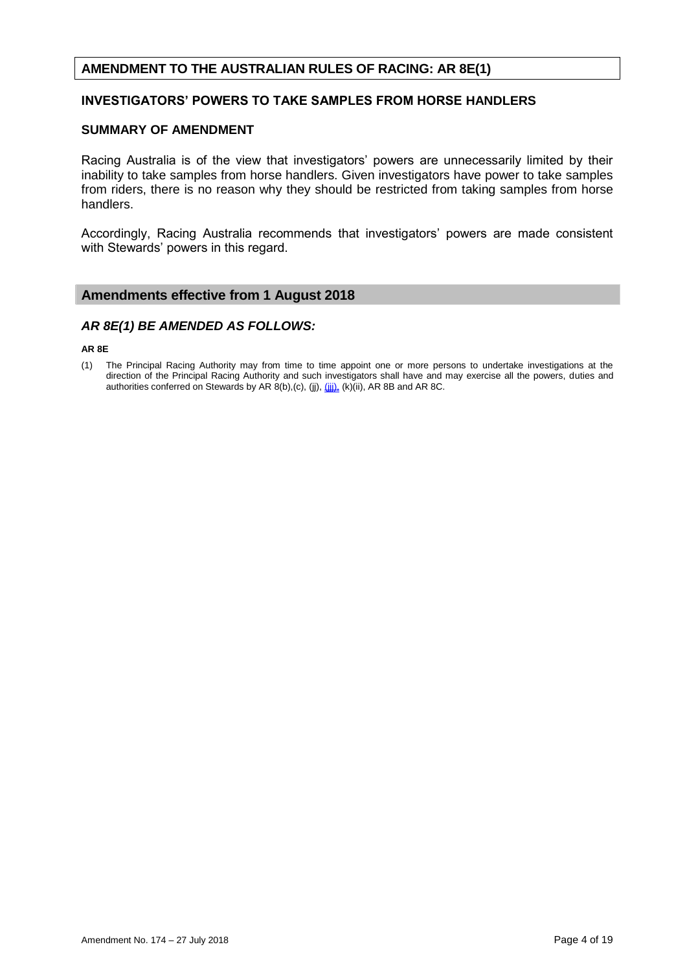# **AMENDMENT TO THE AUSTRALIAN RULES OF RACING: AR 8E(1)**

## **INVESTIGATORS' POWERS TO TAKE SAMPLES FROM HORSE HANDLERS**

#### **SUMMARY OF AMENDMENT**

Racing Australia is of the view that investigators' powers are unnecessarily limited by their inability to take samples from horse handlers. Given investigators have power to take samples from riders, there is no reason why they should be restricted from taking samples from horse handlers.

Accordingly, Racing Australia recommends that investigators' powers are made consistent with Stewards' powers in this regard.

# **Amendments effective from 1 August 2018**

## *AR 8E(1) BE AMENDED AS FOLLOWS:*

#### **AR 8E**

(1) The Principal Racing Authority may from time to time appoint one or more persons to undertake investigations at the direction of the Principal Racing Authority and such investigators shall have and may exercise all the powers, duties and authorities conferred on Stewards by AR 8(b),(c), (jj), (ii), (k)(ii), AR 8B and AR 8C.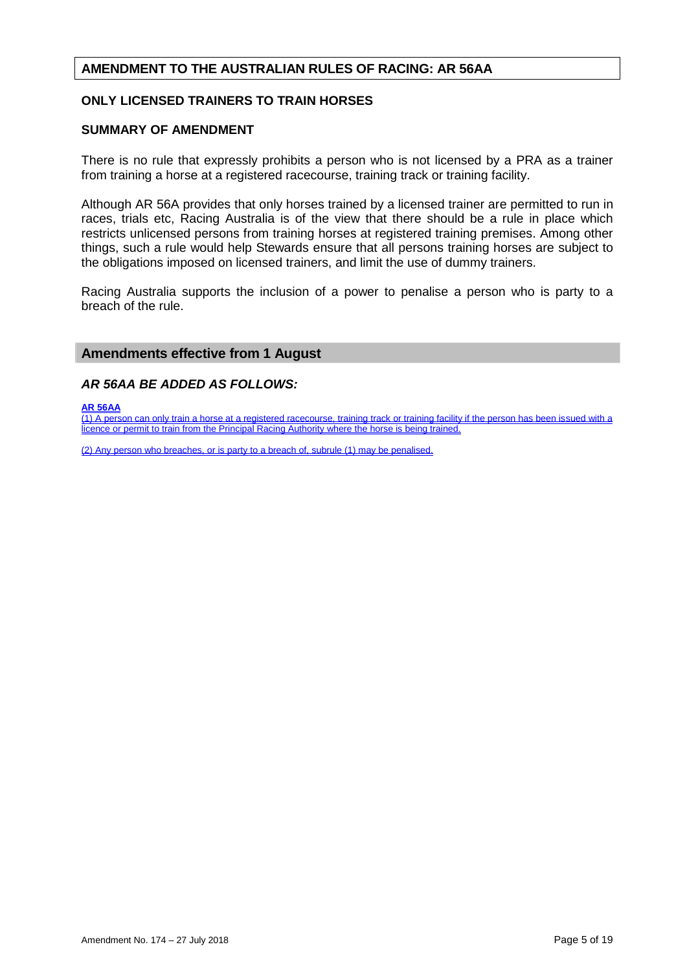# **AMENDMENT TO THE AUSTRALIAN RULES OF RACING: AR 56AA**

# **ONLY LICENSED TRAINERS TO TRAIN HORSES**

#### **SUMMARY OF AMENDMENT**

There is no rule that expressly prohibits a person who is not licensed by a PRA as a trainer from training a horse at a registered racecourse, training track or training facility.

Although AR 56A provides that only horses trained by a licensed trainer are permitted to run in races, trials etc, Racing Australia is of the view that there should be a rule in place which restricts unlicensed persons from training horses at registered training premises. Among other things, such a rule would help Stewards ensure that all persons training horses are subject to the obligations imposed on licensed trainers, and limit the use of dummy trainers.

Racing Australia supports the inclusion of a power to penalise a person who is party to a breach of the rule.

## **Amendments effective from 1 August**

#### *AR 56AA BE ADDED AS FOLLOWS:*

#### **AR 56AA**

 $(1)$  A person can only train a horse at a registered racecourse, training track or training facility if the person has been issued with a licence or permit to train from the Principal Racing Authority where the horse is being trained.

(2) Any person who breaches, or is party to a breach of, subrule (1) may be penalised.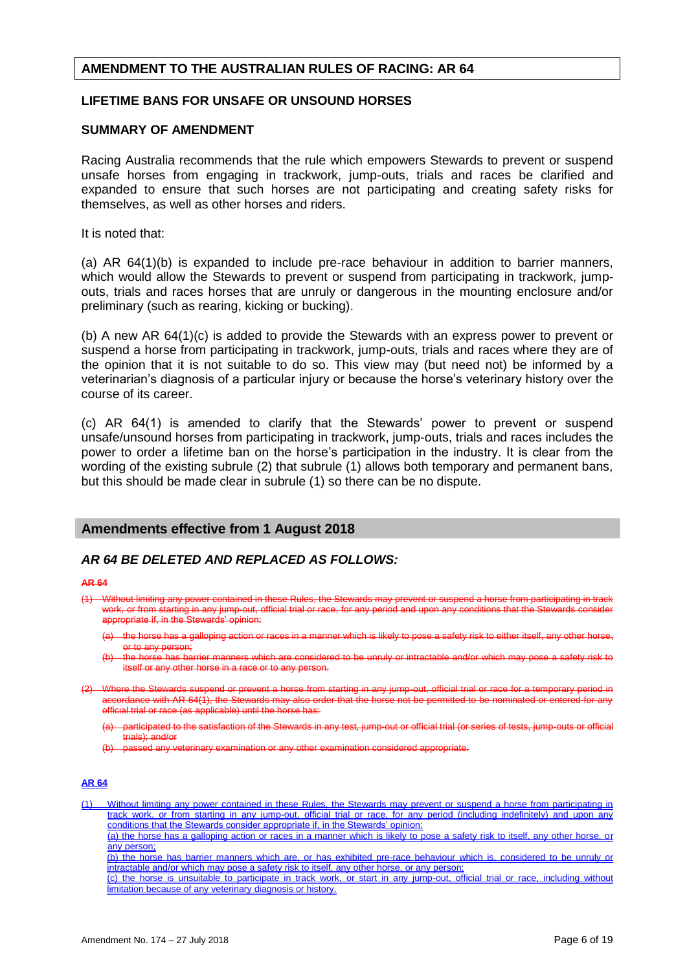## **AMENDMENT TO THE AUSTRALIAN RULES OF RACING: AR 64**

## **LIFETIME BANS FOR UNSAFE OR UNSOUND HORSES**

#### **SUMMARY OF AMENDMENT**

Racing Australia recommends that the rule which empowers Stewards to prevent or suspend unsafe horses from engaging in trackwork, jump-outs, trials and races be clarified and expanded to ensure that such horses are not participating and creating safety risks for themselves, as well as other horses and riders.

It is noted that:

(a) AR 64(1)(b) is expanded to include pre-race behaviour in addition to barrier manners, which would allow the Stewards to prevent or suspend from participating in trackwork, jumpouts, trials and races horses that are unruly or dangerous in the mounting enclosure and/or preliminary (such as rearing, kicking or bucking).

(b) A new AR 64(1)(c) is added to provide the Stewards with an express power to prevent or suspend a horse from participating in trackwork, jump-outs, trials and races where they are of the opinion that it is not suitable to do so. This view may (but need not) be informed by a veterinarian's diagnosis of a particular injury or because the horse's veterinary history over the course of its career.

(c) AR 64(1) is amended to clarify that the Stewards' power to prevent or suspend unsafe/unsound horses from participating in trackwork, jump-outs, trials and races includes the power to order a lifetime ban on the horse's participation in the industry. It is clear from the wording of the existing subrule (2) that subrule (1) allows both temporary and permanent bans, but this should be made clear in subrule (1) so there can be no dispute.

# **Amendments effective from 1 August 2018**

## *AR 64 BE DELETED AND REPLACED AS FOLLOWS:*

#### **AR 64**

- (1) Without limiting any power contained in these Rules, the Stewards may preven a horse from participation work, or from starting in any jump-out, official trial or rac ropriate if, in the Stewards' opinion:
	- the horse has a galloping action or races in a manner which is likely to pose a safety risk to either itself, any other or to any person;
	- (b) the horse has barrier manners which are considered to be unruly or intractable and/or which may pose a safety risk to itself or any other horse in a race or to any person.
- Where the Stewards suspend or prevent a horse from starting in any jump-out, official trial or race for a temporary period in  $a$  ordance with AR 64(1), the Stewards may also order official trial or race (as applicable) until the horse has:
	- articipated to the satisfaction of the Stewards in any test, jump-out or official trial (or series of tests, jump-outs trials); and/or

(b) passed any veterinary examination or any other examination considered appropriate.

#### **AR 64**

(1) Without limiting any power contained in these Rules, the Stewards may prevent or suspend a horse from participating in track work, or from starting in any jump-out, official trial or race, for any period (including indefinitely) and upon any conditions that the Stewards consider appropriate if, in the Stewards' opinion: (a) the horse has a galloping action or races in a manner which is likely to pose a safety risk to itself, any other horse, or

any person;

(b) the horse has barrier manners which are, or has exhibited pre-race behaviour which is, considered to be unruly or intractable and/or which may pose a safety risk to itself, any other horse, or any person;

(c) the horse is unsuitable to participate in track work, or start in any jump-out, official trial or race, including without limitation because of any veterinary diagnosis or history.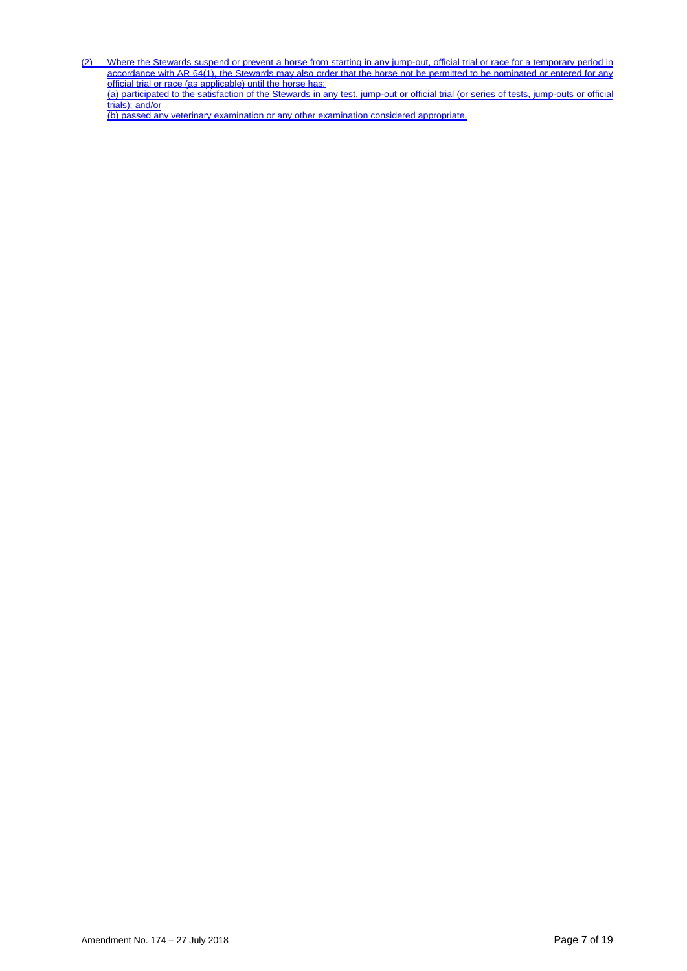<u>(2) Where the Stewards suspend or prevent a horse from starting in any jump-out, official trial or race for a temporary period in</u> accordance with AR 64(1), the Stewards may also order that the horse not be permitted to be nominated or entered for any official trial or race (as applicable) until the horse has: (a) participated to the satisfaction of the Stewards in any test, jump-out or official trial (or series of tests, jump-outs or official trials); and/or

(b) passed any veterinary examination or any other examination considered appropriate.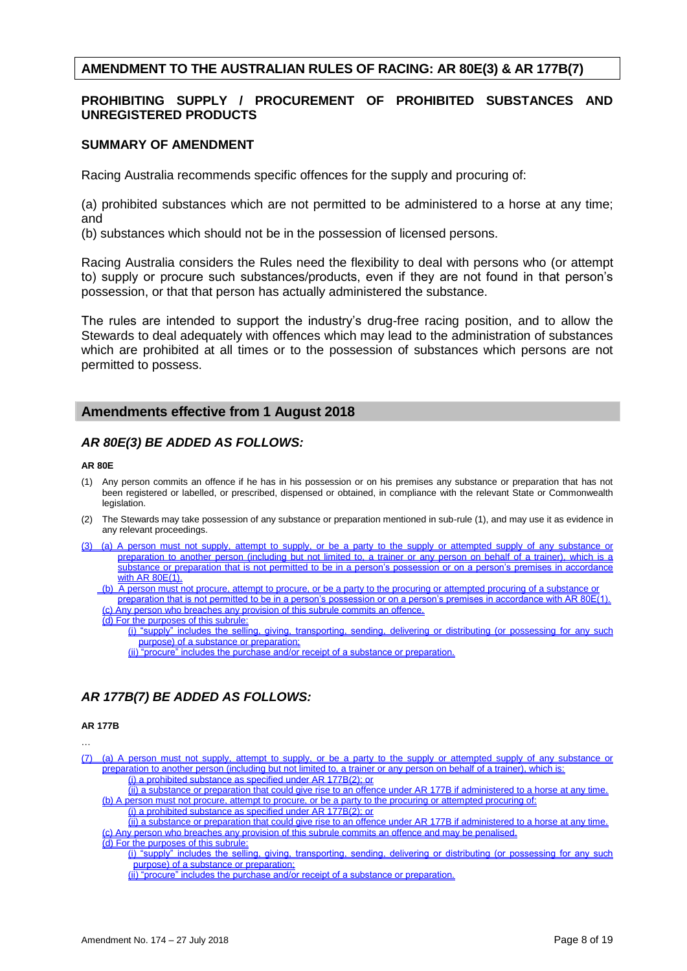# **AMENDMENT TO THE AUSTRALIAN RULES OF RACING: AR 80E(3) & AR 177B(7)**

## **PROHIBITING SUPPLY / PROCUREMENT OF PROHIBITED SUBSTANCES AND UNREGISTERED PRODUCTS**

#### **SUMMARY OF AMENDMENT**

Racing Australia recommends specific offences for the supply and procuring of:

(a) prohibited substances which are not permitted to be administered to a horse at any time; and

(b) substances which should not be in the possession of licensed persons.

Racing Australia considers the Rules need the flexibility to deal with persons who (or attempt to) supply or procure such substances/products, even if they are not found in that person's possession, or that that person has actually administered the substance.

The rules are intended to support the industry's drug-free racing position, and to allow the Stewards to deal adequately with offences which may lead to the administration of substances which are prohibited at all times or to the possession of substances which persons are not permitted to possess.

# **Amendments effective from 1 August 2018**

# *AR 80E(3) BE ADDED AS FOLLOWS:*

#### **AR 80E**

- (1) Any person commits an offence if he has in his possession or on his premises any substance or preparation that has not been registered or labelled, or prescribed, dispensed or obtained, in compliance with the relevant State or Commonwealth legislation.
- (2) The Stewards may take possession of any substance or preparation mentioned in sub-rule (1), and may use it as evidence in any relevant proceedings.
- (3) (a) A person must not supply, attempt to supply, or be a party to the supply or attempted supply of any substance or preparation to another person (including but not limited to, a trainer or any person on behalf of a trainer), which is a substance or preparation that is not permitted to be in a person's possession or on a person's premises in accordance with AR 80E(1).
	- (b) A person must not procure, attempt to procure, or be a party to the procuring or attempted procuring of a substance preparation that is not permitted to be in a person's possession or on a person's premises in accordance with AR 80E(1).

(c) Any person who breaches any provision of this subrule commits an offence.

- (d) For the purposes of this subrule:
	- (i) "supply" includes the selling, giving, transporting, sending, delivering or distributing (or possessing for any such purpose) of a substance or preparation;
		- (ii) "procure" includes the purchase and/or receipt of a substance or preparation.

# *AR 177B(7) BE ADDED AS FOLLOWS:*

#### **AR 177B**

…

- (7) (a) A person must not supply, attempt to supply, or be a party to the supply or attempted supply of any substance or preparation to another person (including but not limited to, a trainer or any person on behalf of a trainer), which is: (i) a prohibited substance as specified under AR 177B(2); or
	- (ii) a substance or preparation that could give rise to an offence under AR 177B if administered to a horse at any time. (b) A person must not procure, attempt to procure, or be a party to the procuring or attempted procuring of:
		- (i) a prohibited substance as specified under AR 177B(2); or

(ii) a substance or preparation that could give rise to an offence under AR 177B if administered to a horse at any time. (c) Any person who breaches any provision of this subrule commits an offence and may be penalised.

#### (d) For the purposes of this subrule:

(i) "supply" includes the selling, giving, transporting, sending, delivering or distributing (or possessing for any such purpose) of a substance or preparation;

(ii) "procure" includes the purchase and/or receipt of a substance or preparation.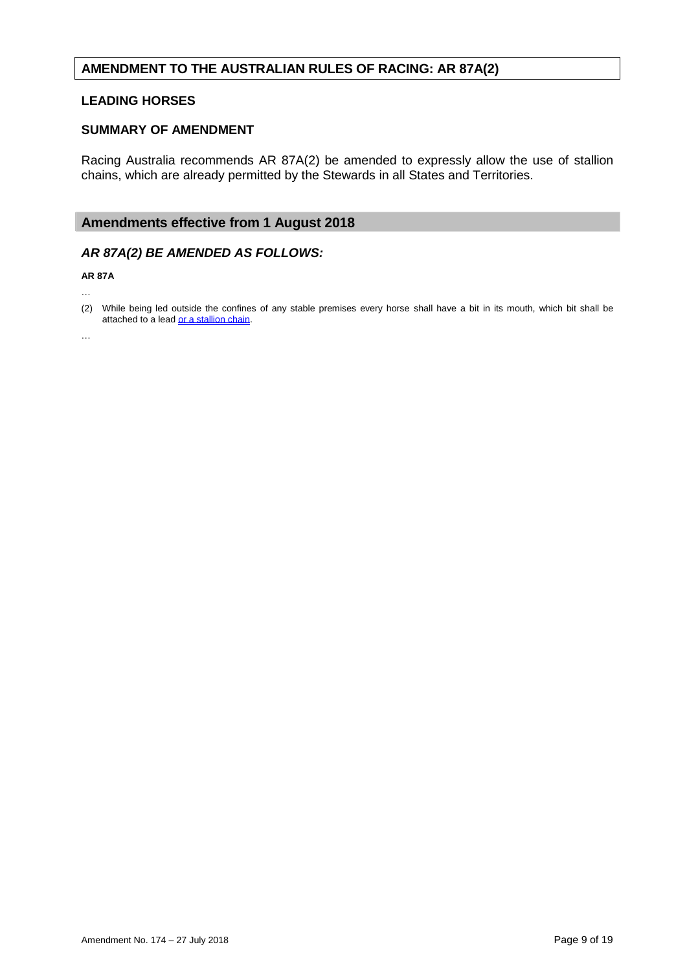# **AMENDMENT TO THE AUSTRALIAN RULES OF RACING: AR 87A(2)**

## **LEADING HORSES**

#### **SUMMARY OF AMENDMENT**

Racing Australia recommends AR 87A(2) be amended to expressly allow the use of stallion chains, which are already permitted by the Stewards in all States and Territories.

# **Amendments effective from 1 August 2018**

## *AR 87A(2) BE AMENDED AS FOLLOWS:*

**AR 87A**

…

 $\ddotsc$ 

<sup>(2)</sup> While being led outside the confines of any stable premises every horse shall have a bit in its mouth, which bit shall be attached to a lead or a stallion chain.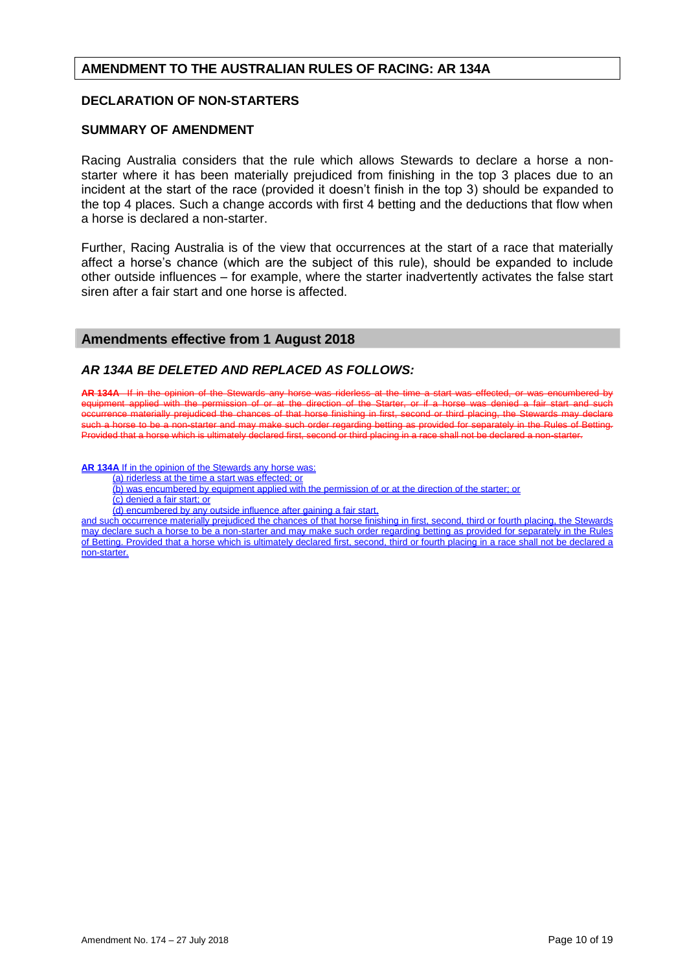# **AMENDMENT TO THE AUSTRALIAN RULES OF RACING: AR 134A**

## **DECLARATION OF NON-STARTERS**

#### **SUMMARY OF AMENDMENT**

Racing Australia considers that the rule which allows Stewards to declare a horse a nonstarter where it has been materially prejudiced from finishing in the top 3 places due to an incident at the start of the race (provided it doesn't finish in the top 3) should be expanded to the top 4 places. Such a change accords with first 4 betting and the deductions that flow when a horse is declared a non-starter.

Further, Racing Australia is of the view that occurrences at the start of a race that materially affect a horse's chance (which are the subject of this rule), should be expanded to include other outside influences – for example, where the starter inadvertently activates the false start siren after a fair start and one horse is affected.

## **Amendments effective from 1 August 2018**

## *AR 134A BE DELETED AND REPLACED AS FOLLOWS:*

**AR 134A** If in the opinion of the Stewards any horse was riderless at the time a start equipment applied with the permission of or at the direction of the Starter, or if a ho of or at the direction of the Starter, or if a horse was denied a fair start and such currence materially prejudiced the chances of that horse finishing in first, second or third placing, the Stewards may declare such a horse to be a non-starter and may make such order regarding betting as provided for separately in the Rules of<br>Provided that a horse which is ultimately declared first, second or third placing in a race shall not be Provided that a horse which is ultimately declared first

**AR 134A** If in the opinion of the Stewards any horse was:

(a) riderless at the time a start was effected; or

- (b) was encumbered by equipment applied with the permission of or at the direction of the starter; or
- (c) denied a fair start; or
- (d) encumbered by any outside influence after gaining a fair start,

and such occurrence materially prejudiced the chances of that horse finishing in first, second, third or fourth placing, the Stewards may declare such a horse to be a non-starter and may make such order regarding betting as provided for separately in the Rules of Betting. Provided that a horse which is ultimately declared first, second, third or fourth placing in a race shall not be declared a non-starter.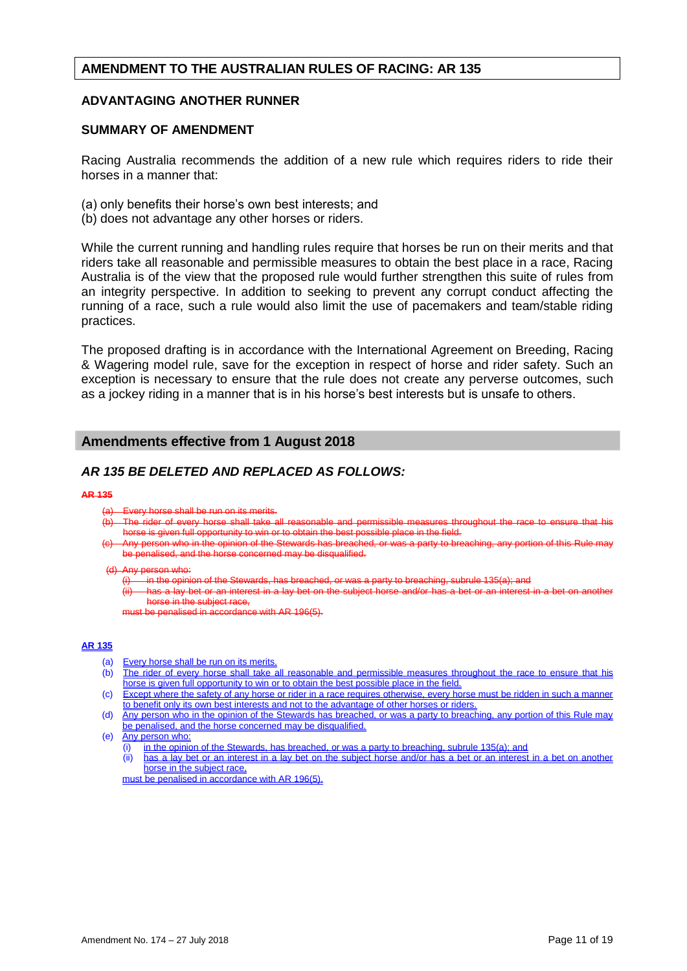# **AMENDMENT TO THE AUSTRALIAN RULES OF RACING: AR 135**

## **ADVANTAGING ANOTHER RUNNER**

#### **SUMMARY OF AMENDMENT**

Racing Australia recommends the addition of a new rule which requires riders to ride their horses in a manner that:

- (a) only benefits their horse's own best interests; and
- (b) does not advantage any other horses or riders.

While the current running and handling rules require that horses be run on their merits and that riders take all reasonable and permissible measures to obtain the best place in a race, Racing Australia is of the view that the proposed rule would further strengthen this suite of rules from an integrity perspective. In addition to seeking to prevent any corrupt conduct affecting the running of a race, such a rule would also limit the use of pacemakers and team/stable riding practices.

The proposed drafting is in accordance with the International Agreement on Breeding, Racing & Wagering model rule, save for the exception in respect of horse and rider safety. Such an exception is necessary to ensure that the rule does not create any perverse outcomes, such as a jockey riding in a manner that is in his horse's best interests but is unsafe to others.

# **Amendments effective from 1 August 2018**

# *AR 135 BE DELETED AND REPLACED AS FOLLOWS:*

#### **AR 135**

- (a) Every horse shall be run on its merits.
- (b) The rider of every horse shall take all reasonable and permissible measures throughout the race to ensure that his horse is given full opportunity to win or to obtain the best possible place in the field.
- on who in the opinion of the Stewards has breached, or was a party to breaching, any portion of this ed may be disqualified.

#### (d) Any person who:

in the opinion of the Stewards, has breached, or was a party to breaching, subrule

has a lay bet or an interest in a lay bet on horse in the subject race,

must be penalised in accordance with AR 196(5).

#### **AR 135**

- (a) Every horse shall be run on its merits.
- (b) The rider of every horse shall take all reasonable and permissible measures throughout the race to ensure that his horse is given full opportunity to win or to obtain the best possible place in the field.
- (c) Except where the safety of any horse or rider in a race requires otherwise, every horse must be ridden in such a manner to benefit only its own best interests and not to the advantage of other horses or riders.
- (d) Any person who in the opinion of the Stewards has breached, or was a party to breaching, any portion of this Rule may be penalised, and the horse concerned may be disqualified.
- (e) Any person who:
	- (i) in the opinion of the Stewards, has breached, or was a party to breaching, subrule 135(a); and
	- (ii) has a lay bet or an interest in a lay bet on the subject horse and/or has a bet or an interest in a bet on another horse in the subject race,

must be penalised in accordance with AR 196(5).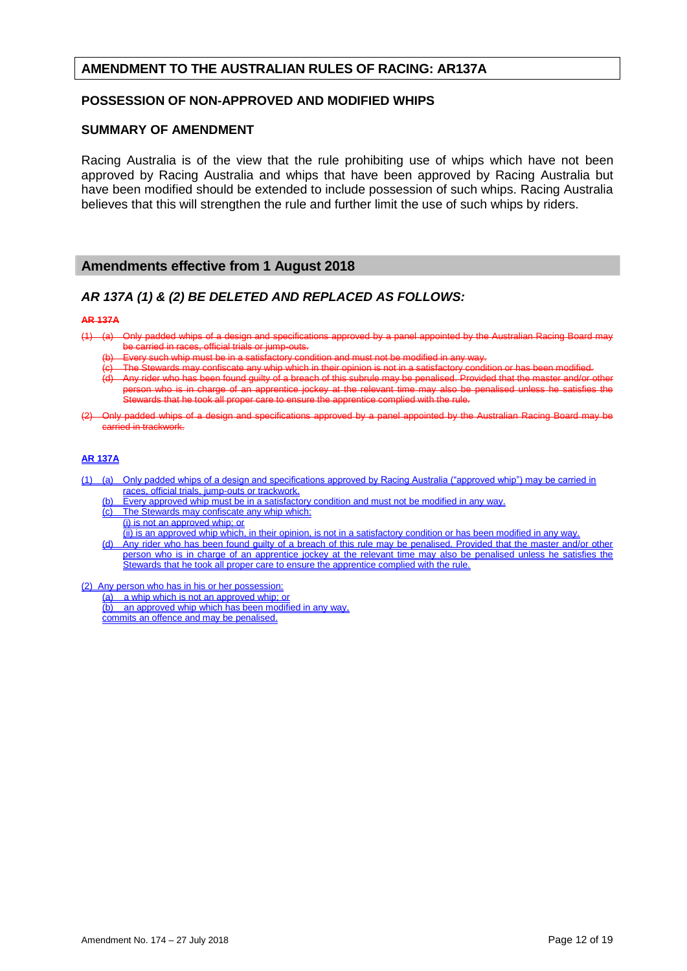## **AMENDMENT TO THE AUSTRALIAN RULES OF RACING: AR137A**

## **POSSESSION OF NON-APPROVED AND MODIFIED WHIPS**

#### **SUMMARY OF AMENDMENT**

Racing Australia is of the view that the rule prohibiting use of whips which have not been approved by Racing Australia and whips that have been approved by Racing Australia but have been modified should be extended to include possession of such whips. Racing Australia believes that this will strengthen the rule and further limit the use of such whips by riders.

## **Amendments effective from 1 August 2018**

## *AR 137A (1) & (2) BE DELETED AND REPLACED AS FOLLOWS:*

#### **AR 137A**

- (1) (a) Only padded whips of a design and specifications approved by a panel appointed by the Australian Racing Board may be carried in races, official trials or jump-outs.
	- Every such whip must be in a satisfactory condition and must not be modified in any way.
	-
	- Stewards may confiscate any whip which in their opinion is not in a satisfactory condition or has been modified.<br>rider who has been found guilty of a breach of this subrule may be penalised. Provided that the master and/or  $\overline{\phantom{a}}$  Provided that the master and/or other penalised unless he satisfies that son who is in charge of an apprentice jockey at the relevant time may also be Stewards that he took all proper care to ensure the apprentice complied with the rule.
- (2) Only padded whips of a design and specifications approved by a panel appointed by the Australian Racing Board may carried in trackwork.

#### **AR 137A**

- (1) (a) Only padded whips of a design and specifications approved by Racing Australia ("approved whip") may be carried in races, official trials, jump-outs or trackwork.
	- (b) Every approved whip must be in a satisfactory condition and must not be modified in any way.<br>(c) The Stewards may confiscate any whip which:
	- The Stewards may confiscate any whip which:
		- (i) is not an approved whip; or

(ii) is an approved whip which, in their opinion, is not in a satisfactory condition or has been modified in any way.

- (d) Any rider who has been found guilty of a breach of this rule may be penalised. Provided that the master and/or other person who is in charge of an apprentice jockey at the relevant time may also be penalised unless he satisfies the Stewards that he took all proper care to ensure the apprentice complied with the rule.
- (2) Any person who has in his or her possession:

(a) a whip which is not an approved whip; or (b) an approved whip which has been modified in any way, commits an offence and may be penalised.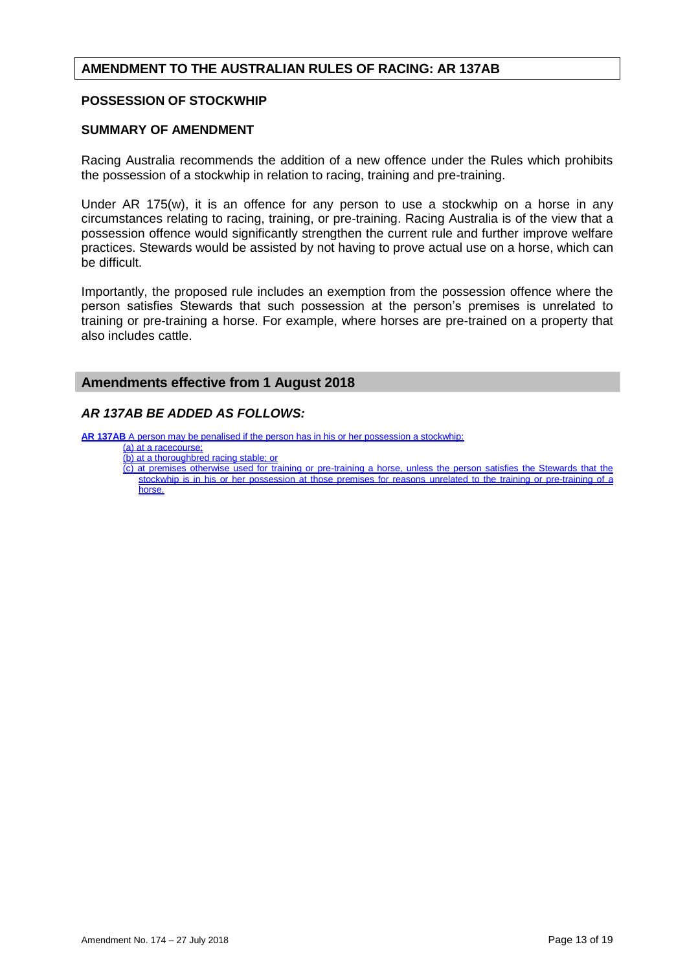# **AMENDMENT TO THE AUSTRALIAN RULES OF RACING: AR 137AB**

## **POSSESSION OF STOCKWHIP**

#### **SUMMARY OF AMENDMENT**

Racing Australia recommends the addition of a new offence under the Rules which prohibits the possession of a stockwhip in relation to racing, training and pre-training.

Under AR 175(w), it is an offence for any person to use a stockwhip on a horse in any circumstances relating to racing, training, or pre-training. Racing Australia is of the view that a possession offence would significantly strengthen the current rule and further improve welfare practices. Stewards would be assisted by not having to prove actual use on a horse, which can be difficult.

Importantly, the proposed rule includes an exemption from the possession offence where the person satisfies Stewards that such possession at the person's premises is unrelated to training or pre-training a horse. For example, where horses are pre-trained on a property that also includes cattle.

#### **Amendments effective from 1 August 2018**

## *AR 137AB BE ADDED AS FOLLOWS:*

**AR 137AB** A person may be penalised if the person has in his or her possession a stockwhip:

- (a) at a racecourse;
- (b) at a thoroughbred racing stable; or

(c) at premises otherwise used for training or pre-training a horse, unless the person satisfies the Stewards that the stockwhip is in his or her possession at those premises for reasons unrelated to the training or pre-training of a horse.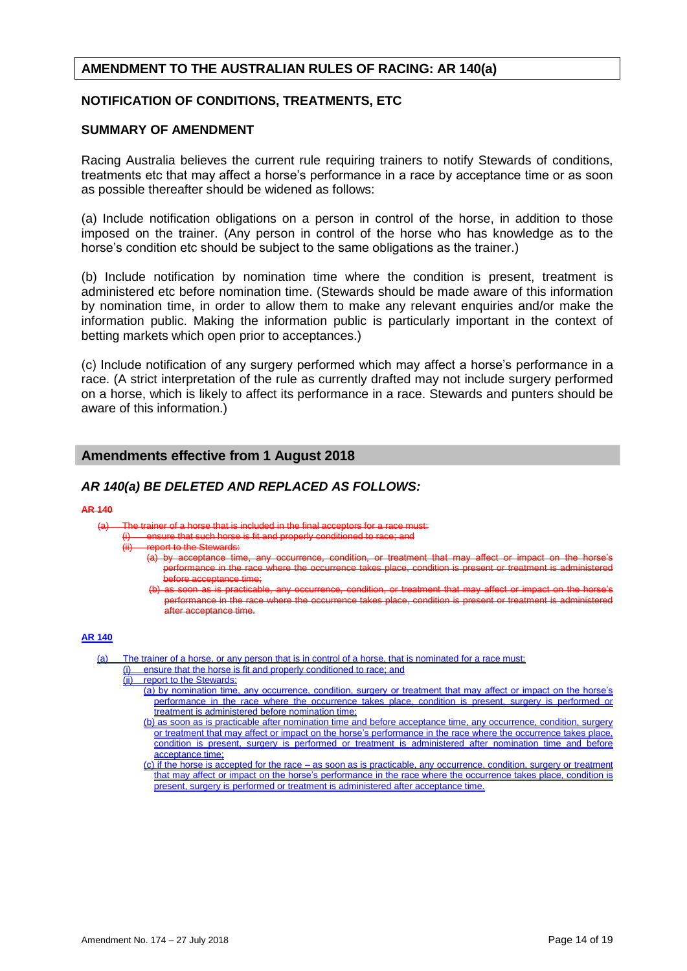# **AMENDMENT TO THE AUSTRALIAN RULES OF RACING: AR 140(a)**

## **NOTIFICATION OF CONDITIONS, TREATMENTS, ETC**

#### **SUMMARY OF AMENDMENT**

Racing Australia believes the current rule requiring trainers to notify Stewards of conditions, treatments etc that may affect a horse's performance in a race by acceptance time or as soon as possible thereafter should be widened as follows:

(a) Include notification obligations on a person in control of the horse, in addition to those imposed on the trainer. (Any person in control of the horse who has knowledge as to the horse's condition etc should be subject to the same obligations as the trainer.)

(b) Include notification by nomination time where the condition is present, treatment is administered etc before nomination time. (Stewards should be made aware of this information by nomination time, in order to allow them to make any relevant enquiries and/or make the information public. Making the information public is particularly important in the context of betting markets which open prior to acceptances.)

(c) Include notification of any surgery performed which may affect a horse's performance in a race. (A strict interpretation of the rule as currently drafted may not include surgery performed on a horse, which is likely to affect its performance in a race. Stewards and punters should be aware of this information.)

# **Amendments effective from 1 August 2018**

# *AR 140(a) BE DELETED AND REPLACED AS FOLLOWS:*

#### **AR 140**

 $(a)$  The trainer of a horse that is included in the final a

nsure that such horse is fit and properly conditioned to race; and

ort to the Stewards:

- (a) by acceptance time, any occurrence, condition, or treatment that may affect or impact on the horse's ance in the race where the occurrence takes place, condition is present or treatment is before acceptance time;
- condition, or treatment that may affect or impact on performance in the race where the occurrence takes place, condition is present or treatment is administe after acceptance time.

#### **AR 140**

- (a) The trainer of a horse, or any person that is in control of a horse, that is nominated for a race must:
	- (i) ensure that the horse is fit and properly conditioned to race; and (ii) report to the Stewards:
	- (ii) report to the Stewards:
		- (a) by nomination time, any occurrence, condition, surgery or treatment that may affect or impact on the horse's performance in the race where the occurrence takes place, condition is present, surgery is performed or treatment is administered before nomination time;
		- (b) as soon as is practicable after nomination time and before acceptance time, any occurrence, condition, surgery or treatment that may affect or impact on the horse's performance in the race where the occurrence takes place, condition is present, surgery is performed or treatment is administered after nomination time and before acceptance time;
		- $(c)$  if the horse is accepted for the race as soon as is practicable, any occurrence, condition, surgery or treatment that may affect or impact on the horse's performance in the race where the occurrence takes place, condition is present, surgery is performed or treatment is administered after acceptance time.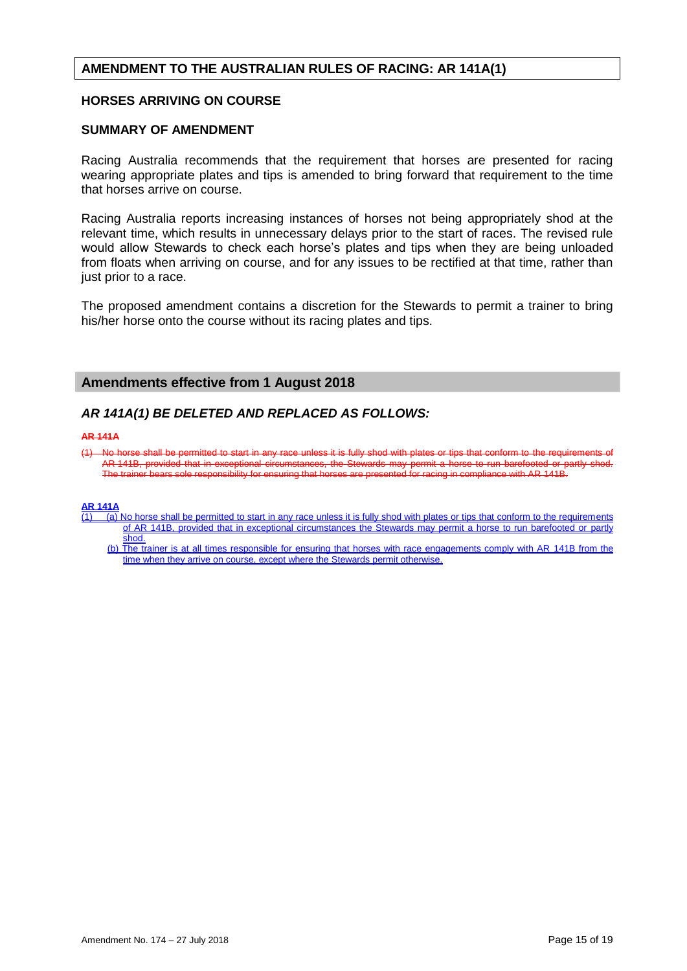# **AMENDMENT TO THE AUSTRALIAN RULES OF RACING: AR 141A(1)**

## **HORSES ARRIVING ON COURSE**

#### **SUMMARY OF AMENDMENT**

Racing Australia recommends that the requirement that horses are presented for racing wearing appropriate plates and tips is amended to bring forward that requirement to the time that horses arrive on course.

Racing Australia reports increasing instances of horses not being appropriately shod at the relevant time, which results in unnecessary delays prior to the start of races. The revised rule would allow Stewards to check each horse's plates and tips when they are being unloaded from floats when arriving on course, and for any issues to be rectified at that time, rather than just prior to a race.

The proposed amendment contains a discretion for the Stewards to permit a trainer to bring his/her horse onto the course without its racing plates and tips.

#### **Amendments effective from 1 August 2018**

# *AR 141A(1) BE DELETED AND REPLACED AS FOLLOWS:*

#### **AR 141A**

(1) No horse shall be permitted to start in any race unless it is fully shod with plates or AR 141B, provided that in exceptional circumstances, the Stewards may permit a horse to run barefooted or partly The trainer bears sole responsibility for ensuring that horses are presented for racing in compliance with AR 141B.

#### **AR 141A**

- (1) (a) No horse shall be permitted to start in any race unless it is fully shod with plates or tips that conform to the requirements of AR 141B, provided that in exceptional circumstances the Stewards may permit a horse to run barefooted or partly shod.
	- (b) The trainer is at all times responsible for ensuring that horses with race engagements comply with AR 141B from the time when they arrive on course, except where the Stewards permit otherwise.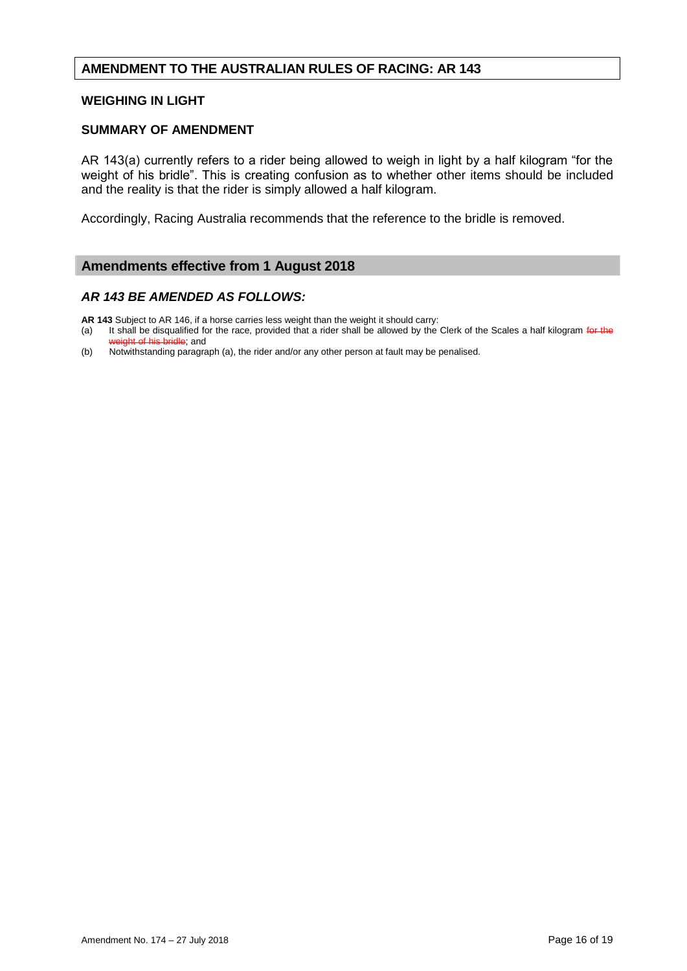# **AMENDMENT TO THE AUSTRALIAN RULES OF RACING: AR 143**

#### **WEIGHING IN LIGHT**

#### **SUMMARY OF AMENDMENT**

AR 143(a) currently refers to a rider being allowed to weigh in light by a half kilogram "for the weight of his bridle". This is creating confusion as to whether other items should be included and the reality is that the rider is simply allowed a half kilogram.

Accordingly, Racing Australia recommends that the reference to the bridle is removed.

# **Amendments effective from 1 August 2018**

## *AR 143 BE AMENDED AS FOLLOWS:*

**AR 143** Subject to AR 146, if a horse carries less weight than the weight it should carry:

(a) It shall be disqualified for the race, provided that a rider shall be allowed by the Clerk of the Scales a half kilogram for the weight of his bridle; and

(b) Notwithstanding paragraph (a), the rider and/or any other person at fault may be penalised.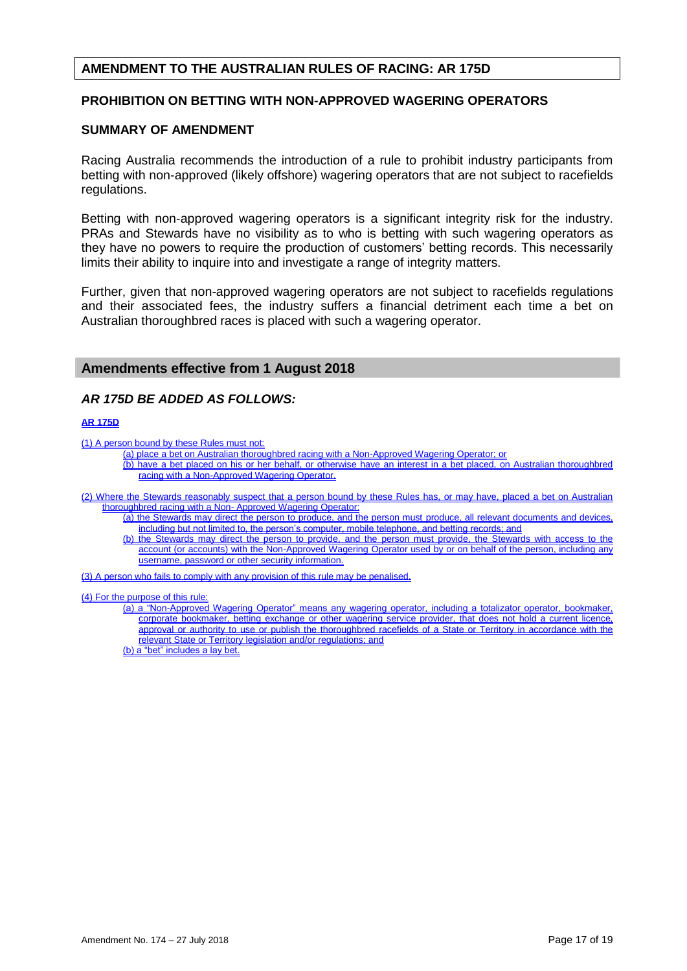# **AMENDMENT TO THE AUSTRALIAN RULES OF RACING: AR 175D**

## **PROHIBITION ON BETTING WITH NON-APPROVED WAGERING OPERATORS**

#### **SUMMARY OF AMENDMENT**

Racing Australia recommends the introduction of a rule to prohibit industry participants from betting with non-approved (likely offshore) wagering operators that are not subject to racefields regulations.

Betting with non-approved wagering operators is a significant integrity risk for the industry. PRAs and Stewards have no visibility as to who is betting with such wagering operators as they have no powers to require the production of customers' betting records. This necessarily limits their ability to inquire into and investigate a range of integrity matters.

Further, given that non-approved wagering operators are not subject to racefields regulations and their associated fees, the industry suffers a financial detriment each time a bet on Australian thoroughbred races is placed with such a wagering operator.

## **Amendments effective from 1 August 2018**

## *AR 175D BE ADDED AS FOLLOWS:*

#### **AR 175D**

(1) A person bound by these Rules must not:

- (a) place a bet on Australian thoroughbred racing with a Non-Approved Wagering Operator; or
	- (b) have a bet placed on his or her behalf, or otherwise have an interest in a bet placed, on Australian thoroughbred racing with a Non-Approved Wagering Operator.

(2) Where the Stewards reasonably suspect that a person bound by these Rules has, or may have, placed a bet on Australian thoroughbred racing with a Non- Approved Wagering Operator:

- (a) the Stewards may direct the person to produce, and the person must produce, all relevant documents and devices, including but not limited to, the person's computer, mobile telephone, and betting records; and
	- (b) the Stewards may direct the person to provide, and the person must provide, the Stewards with access to the account (or accounts) with the Non-Approved Wagering Operator used by or on behalf of the person, including any username, password or other security information.

(3) A person who fails to comply with any provision of this rule may be penalised.

#### (4) For the purpose of this rule:

(a) a "Non-Approved Wagering Operator" means any wagering operator, including a totalizator operator, bookmaker, corporate bookmaker, betting exchange or other wagering service provider, that does not hold a current licence, approval or authority to use or publish the thoroughbred racefields of a State or Territory in accordance with the relevant State or Territory legislation and/or regulations; and

(b) a "bet" includes a lay bet.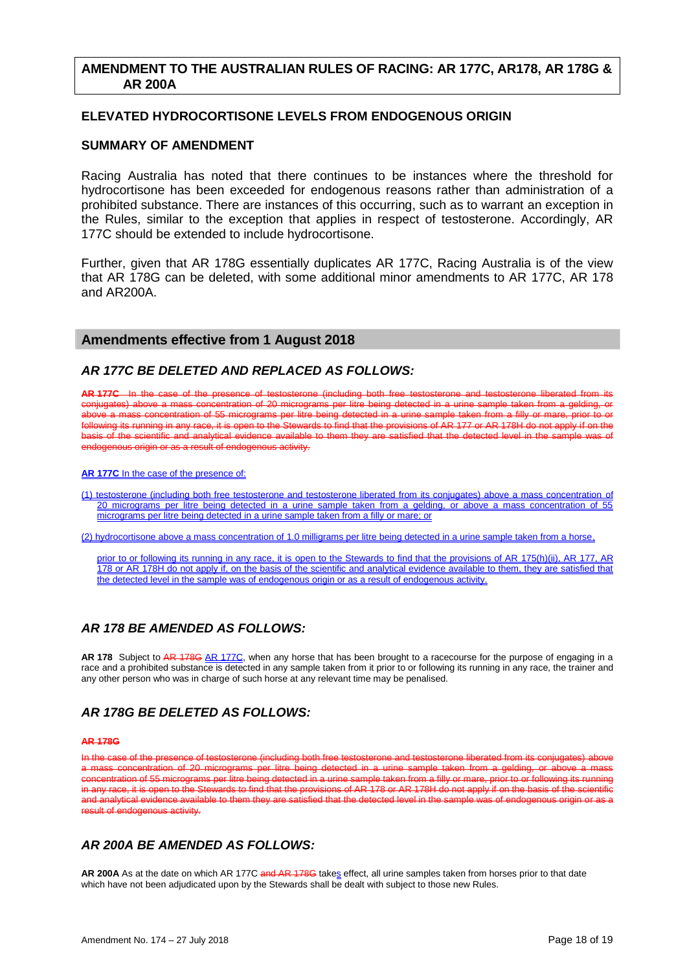# **AMENDMENT TO THE AUSTRALIAN RULES OF RACING: AR 177C, AR178, AR 178G & AR 200A**

## **ELEVATED HYDROCORTISONE LEVELS FROM ENDOGENOUS ORIGIN**

# **SUMMARY OF AMENDMENT**

Racing Australia has noted that there continues to be instances where the threshold for hydrocortisone has been exceeded for endogenous reasons rather than administration of a prohibited substance. There are instances of this occurring, such as to warrant an exception in the Rules, similar to the exception that applies in respect of testosterone. Accordingly, AR 177C should be extended to include hydrocortisone.

Further, given that AR 178G essentially duplicates AR 177C, Racing Australia is of the view that AR 178G can be deleted, with some additional minor amendments to AR 177C, AR 178 and AR200A.

# **Amendments effective from 1 August 2018**

# *AR 177C BE DELETED AND REPLACED AS FOLLOWS:*

AR 177C In the case of the presence of testosterone (including both free conjugates) above a mass concentration of 20 micrograms per litre being detected in a urine sample taken from a gelding, or above a mass concentration of 55 micrograms per litre being detected in a urine sample taken from a filly or mare, prior to or following its running in any race, it is open to the Stewards to find that the provisions of AR 177 or AR 178H do not apply if on the of the scientific and analytical evidence available to them they are satisfied that the detected level in the endogenous origin or as a result of endogenous activity.

#### **AR 177C** In the case of the presence of:

(1) testosterone (including both free testosterone and testosterone liberated from its conjugates) above a mass concentration of 20 micrograms per litre being detected in a urine sample taken from a gelding, or above a mass concentration of 55 micrograms per litre being detected in a urine sample taken from a filly or mare; or

(2) hydrocortisone above a mass concentration of 1.0 milligrams per litre being detected in a urine sample taken from a horse,

prior to or following its running in any race, it is open to the Stewards to find that the provisions of AR 175(h)(ii), AR 177, AR 178 or AR 178H do not apply if, on the basis of the scientific and analytical evidence available to them, they are satisfied that the detected level in the sample was of endogenous origin or as a result of endogenous activity.

# *AR 178 BE AMENDED AS FOLLOWS:*

**AR 178** Subject to AR 178G AR 177C, when any horse that has been brought to a racecourse for the purpose of engaging in a race and a prohibited substance is detected in any sample taken from it prior to or following its running in any race, the trainer and any other person who was in charge of such horse at any relevant time may be penalised.

# *AR 178G BE DELETED AS FOLLOWS:*

#### **AR 178G**

the case of the presence of testosterone (including both free testosterone and testosterone liberated from its conjugates) a mass concentration of 20 micrograms per litre being detected in a urine sample taken from a gelding, or above a mass<br>concentration of 55 micrograms per litre being detected in a urine sample taken from a filly or mare, p ncentration of 55 micrograms per litre being detected in a urine sample taken from a filly or mare any race, it is open to the Stewards to find that the provisions of AR 178 or AR 178H do not apply if on the basis of the scientific analytical evidence available to them they are satisfied that the detected level in the sample was of endogenous origin or endogenous activity.

# *AR 200A BE AMENDED AS FOLLOWS:*

**AR 200A** As at the date on which AR 177C and AR 178G takes effect, all urine samples taken from horses prior to that date which have not been adjudicated upon by the Stewards shall be dealt with subject to those new Rules.